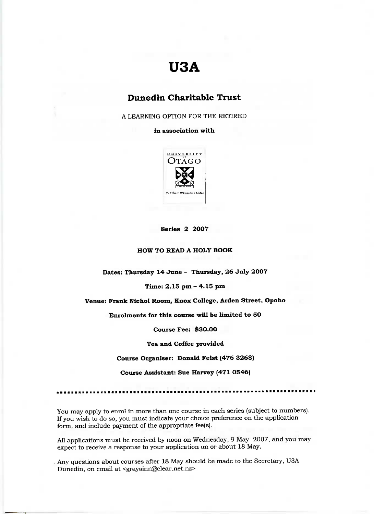# **U3A**

## **Dunedin Charitable Trust**

A LEARNING OPTION FOR THE RETIRED

**in association with**



#### **Series 2 2007**

**HOW TO READ A HOLY BOOK**

**Dates: Thursday 14 June - Thursday, 26 July 2007**

**Time: 2.15 pm - 4.15 pm**

**Venue: Frank Nichol Room, Knox College, Arden Street, Opoho**

**Enrolments for this course will be limited to 50**

**Course Fee: \$30.00**

**Tea and Coffee provided**

**Course Organiser: Donald Feist (476 3268)**

**Course Assistant: Sue Harvey (471 0546)**

You may apply to enrol in more than one course in each series (subject to numbers). If you wish to do so, you must indicate your choice preference on the application form, and include payment of the appropriate fee(s).

All applications must be received by noon on Wednesday, 9 May 2007, and you may expect to receive a response to your application on or about 18 May.

Any questions about courses after 18 May should be made to the Secretary, USA Dunedin, on email at <graysinn@clear.net.nz>